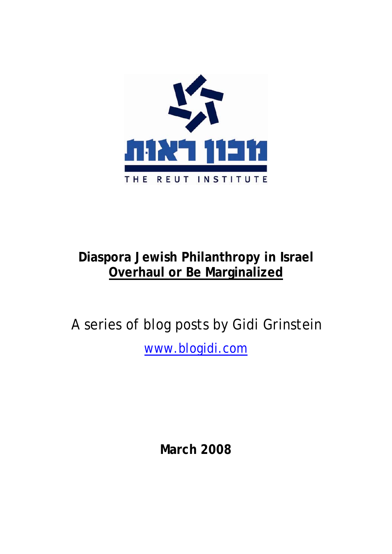

# **Diaspora Jewish Philanthropy in Israel Overhaul or Be Marginalized**

A series of blog posts by Gidi Grinstein www.blogidi.com

**March 2008**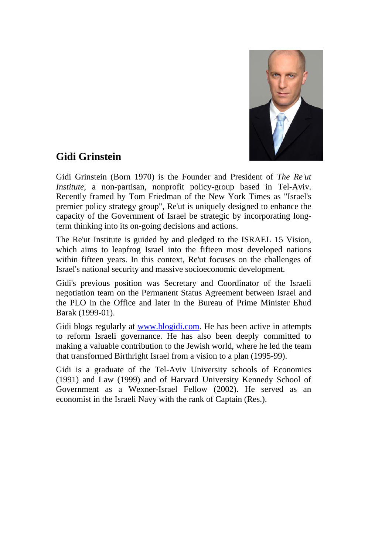

### **Gidi Grinstein**

Gidi Grinstein (Born 1970) is the Founder and President of *The Re'ut Institute*, a non-partisan, nonprofit policy-group based in Tel-Aviv. Recently framed by Tom Friedman of the New York Times as "Israel's premier policy strategy group", Re'ut is uniquely designed to enhance the capacity of the Government of Israel be strategic by incorporating longterm thinking into its on-going decisions and actions.

The Re'ut Institute is guided by and pledged to the ISRAEL 15 Vision, which aims to leapfrog Israel into the fifteen most developed nations within fifteen years. In this context, Re'ut focuses on the challenges of Israel's national security and massive socioeconomic development.

Gidi's previous position was Secretary and Coordinator of the Israeli negotiation team on the Permanent Status Agreement between Israel and the PLO in the Office and later in the Bureau of Prime Minister Ehud Barak (1999-01).

Gidi blogs regularly at www.blogidi.com. He has been active in attempts to reform Israeli governance. He has also been deeply committed to making a valuable contribution to the Jewish world, where he led the team that transformed Birthright Israel from a vision to a plan (1995-99).

Gidi is a graduate of the Tel-Aviv University schools of Economics (1991) and Law (1999) and of Harvard University Kennedy School of Government as a Wexner-Israel Fellow (2002). He served as an economist in the Israeli Navy with the rank of Captain (Res.).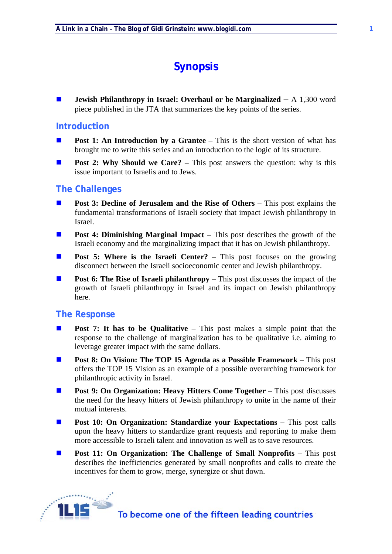## **Synopsis**

**Jewish Philanthropy in Israel: Overhaul or be Marginalized** – A 1,300 word piece published in the JTA that summarizes the key points of the series.

#### **Introduction**

- **Post 1: An Introduction by a Grantee** This is the short version of what has brought me to write this series and an introduction to the logic of its structure.
- **Post 2: Why Should we Care?** This post answers the question: why is this issue important to Israelis and to Jews.

#### **The Challenges**

- **Post 3: Decline of Jerusalem and the Rise of Others** This post explains the fundamental transformations of Israeli society that impact Jewish philanthropy in Israel.
- **Post 4: Diminishing Marginal Impact** This post describes the growth of the Israeli economy and the marginalizing impact that it has on Jewish philanthropy.
- **Post 5: Where is the Israeli Center?** This post focuses on the growing disconnect between the Israeli socioeconomic center and Jewish philanthropy.
- **Post 6: The Rise of Israeli philanthropy** This post discusses the impact of the growth of Israeli philanthropy in Israel and its impact on Jewish philanthropy here.

#### **The Response**

- **Post 7: It has to be Qualitative** This post makes a simple point that the response to the challenge of marginalization has to be qualitative i.e. aiming to leverage greater impact with the same dollars.
- **Post 8: On Vision: The TOP 15 Agenda as a Possible Framework** This post offers the TOP 15 Vision as an example of a possible overarching framework for philanthropic activity in Israel.
- **Post 9: On Organization: Heavy Hitters Come Together** This post discusses the need for the heavy hitters of Jewish philanthropy to unite in the name of their mutual interests.
- **Post 10: On Organization: Standardize your Expectations** This post calls upon the heavy hitters to standardize grant requests and reporting to make them more accessible to Israeli talent and innovation as well as to save resources.
- **Post 11: On Organization: The Challenge of Small Nonprofits** This post describes the inefficiencies generated by small nonprofits and calls to create the incentives for them to grow, merge, synergize or shut down.

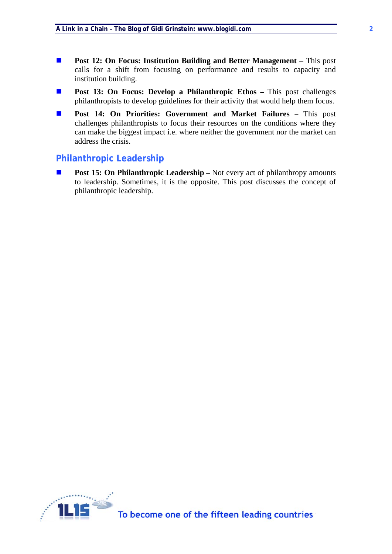- **Post 12: On Focus: Institution Building and Better Management** This post calls for a shift from focusing on performance and results to capacity and institution building.
- **Post 13: On Focus: Develop a Philanthropic Ethos –** This post challenges philanthropists to develop guidelines for their activity that would help them focus.
- **Post 14: On Priorities: Government and Market Failures This post** challenges philanthropists to focus their resources on the conditions where they can make the biggest impact i.e. where neither the government nor the market can address the crisis.

#### **Philanthropic Leadership**

**Post 15: On Philanthropic Leadership** – Not every act of philanthropy amounts to leadership. Sometimes, it is the opposite. This post discusses the concept of philanthropic leadership.

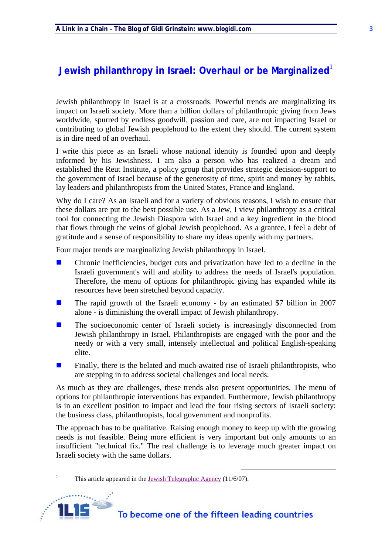### **Jewish philanthropy in Israel: Overhaul or be Marginalized<sup>1</sup>**

Jewish philanthropy in Israel is at a crossroads. Powerful trends are marginalizing its impact on Israeli society. More than a billion dollars of philanthropic giving from Jews worldwide, spurred by endless goodwill, passion and care, are not impacting Israel or contributing to global Jewish peoplehood to the extent they should. The current system is in dire need of an overhaul.

I write this piece as an Israeli whose national identity is founded upon and deeply informed by his Jewishness. I am also a person who has realized a dream and established the Reut Institute, a policy group that provides strategic decision-support to the government of Israel because of the generosity of time, spirit and money by rabbis, lay leaders and philanthropists from the United States, France and England.

Why do I care? As an Israeli and for a variety of obvious reasons, I wish to ensure that these dollars are put to the best possible use. As a Jew, I view philanthropy as a critical tool for connecting the Jewish Diaspora with Israel and a key ingredient in the blood that flows through the veins of global Jewish peoplehood. As a grantee, I feel a debt of gratitude and a sense of responsibility to share my ideas openly with my partners.

Four major trends are marginalizing Jewish philanthropy in Israel.

- $\blacksquare$  Chronic inefficiencies, budget cuts and privatization have led to a decline in the Israeli government's will and ability to address the needs of Israel's population. Therefore, the menu of options for philanthropic giving has expanded while its resources have been stretched beyond capacity.
- **The rapid growth of the Israeli economy by an estimated \$7 billion in 2007** alone - is diminishing the overall impact of Jewish philanthropy.
- **The socioeconomic center of Israeli society is increasingly disconnected from** Jewish philanthropy in Israel. Philanthropists are engaged with the poor and the needy or with a very small, intensely intellectual and political English-speaking elite.
- Finally, there is the belated and much-awaited rise of Israeli philanthropists, who are stepping in to address societal challenges and local needs.

As much as they are challenges, these trends also present opportunities. The menu of options for philanthropic interventions has expanded. Furthermore, Jewish philanthropy is in an excellent position to impact and lead the four rising sectors of Israeli society: the business class, philanthropists, local government and nonprofits.

The approach has to be qualitative. Raising enough money to keep up with the growing needs is not feasible. Being more efficient is very important but only amounts to an insufficient "technical fix." The real challenge is to leverage much greater impact on Israeli society with the same dollars.

<sup>1</sup> This article appeared in the <u>Jewish Telegraphic Agency</u> (11/6/07).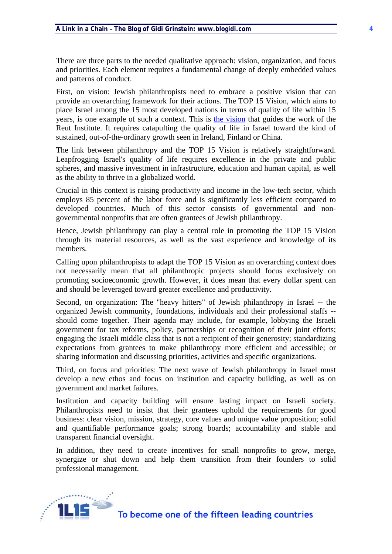There are three parts to the needed qualitative approach: vision, organization, and focus and priorities. Each element requires a fundamental change of deeply embedded values and patterns of conduct.

First, on vision: Jewish philanthropists need to embrace a positive vision that can provide an overarching framework for their actions. The TOP 15 Vision, which aims to place Israel among the 15 most developed nations in terms of quality of life within 15 years, is one example of such a context. This is the vision that guides the work of the Reut Institute. It requires catapulting the quality of life in Israel toward the kind of sustained, out-of-the-ordinary growth seen in Ireland, Finland or China.

The link between philanthropy and the TOP 15 Vision is relatively straightforward. Leapfrogging Israel's quality of life requires excellence in the private and public spheres, and massive investment in infrastructure, education and human capital, as well as the ability to thrive in a globalized world.

Crucial in this context is raising productivity and income in the low-tech sector, which employs 85 percent of the labor force and is significantly less efficient compared to developed countries. Much of this sector consists of governmental and nongovernmental nonprofits that are often grantees of Jewish philanthropy.

Hence, Jewish philanthropy can play a central role in promoting the TOP 15 Vision through its material resources, as well as the vast experience and knowledge of its members.

Calling upon philanthropists to adapt the TOP 15 Vision as an overarching context does not necessarily mean that all philanthropic projects should focus exclusively on promoting socioeconomic growth. However, it does mean that every dollar spent can and should be leveraged toward greater excellence and productivity.

Second, on organization: The "heavy hitters" of Jewish philanthropy in Israel -- the organized Jewish community, foundations, individuals and their professional staffs - should come together. Their agenda may include, for example, lobbying the Israeli government for tax reforms, policy, partnerships or recognition of their joint efforts; engaging the Israeli middle class that is not a recipient of their generosity; standardizing expectations from grantees to make philanthropy more efficient and accessible; or sharing information and discussing priorities, activities and specific organizations.

Third, on focus and priorities: The next wave of Jewish philanthropy in Israel must develop a new ethos and focus on institution and capacity building, as well as on government and market failures.

Institution and capacity building will ensure lasting impact on Israeli society. Philanthropists need to insist that their grantees uphold the requirements for good business: clear vision, mission, strategy, core values and unique value proposition; solid and quantifiable performance goals; strong boards; accountability and stable and transparent financial oversight.

In addition, they need to create incentives for small nonprofits to grow, merge, synergize or shut down and help them transition from their founders to solid professional management.

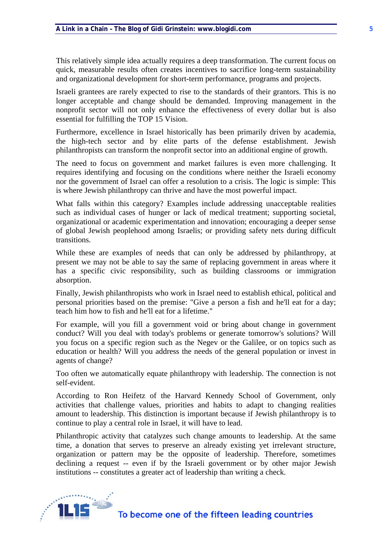This relatively simple idea actually requires a deep transformation. The current focus on quick, measurable results often creates incentives to sacrifice long-term sustainability and organizational development for short-term performance, programs and projects.

Israeli grantees are rarely expected to rise to the standards of their grantors. This is no longer acceptable and change should be demanded. Improving management in the nonprofit sector will not only enhance the effectiveness of every dollar but is also essential for fulfilling the TOP 15 Vision.

Furthermore, excellence in Israel historically has been primarily driven by academia, the high-tech sector and by elite parts of the defense establishment. Jewish philanthropists can transform the nonprofit sector into an additional engine of growth.

The need to focus on government and market failures is even more challenging. It requires identifying and focusing on the conditions where neither the Israeli economy nor the government of Israel can offer a resolution to a crisis. The logic is simple: This is where Jewish philanthropy can thrive and have the most powerful impact.

What falls within this category? Examples include addressing unacceptable realities such as individual cases of hunger or lack of medical treatment; supporting societal, organizational or academic experimentation and innovation; encouraging a deeper sense of global Jewish peoplehood among Israelis; or providing safety nets during difficult transitions.

While these are examples of needs that can only be addressed by philanthropy, at present we may not be able to say the same of replacing government in areas where it has a specific civic responsibility, such as building classrooms or immigration absorption.

Finally, Jewish philanthropists who work in Israel need to establish ethical, political and personal priorities based on the premise: "Give a person a fish and he'll eat for a day; teach him how to fish and he'll eat for a lifetime."

For example, will you fill a government void or bring about change in government conduct? Will you deal with today's problems or generate tomorrow's solutions? Will you focus on a specific region such as the Negev or the Galilee, or on topics such as education or health? Will you address the needs of the general population or invest in agents of change?

Too often we automatically equate philanthropy with leadership. The connection is not self-evident.

According to Ron Heifetz of the Harvard Kennedy School of Government, only activities that challenge values, priorities and habits to adapt to changing realities amount to leadership. This distinction is important because if Jewish philanthropy is to continue to play a central role in Israel, it will have to lead.

Philanthropic activity that catalyzes such change amounts to leadership. At the same time, a donation that serves to preserve an already existing yet irrelevant structure, organization or pattern may be the opposite of leadership. Therefore, sometimes declining a request -- even if by the Israeli government or by other major Jewish institutions -- constitutes a greater act of leadership than writing a check.

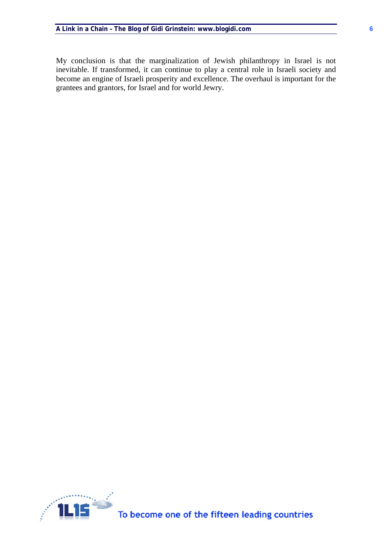My conclusion is that the marginalization of Jewish philanthropy in Israel is not inevitable. If transformed, it can continue to play a central role in Israeli society and become an engine of Israeli prosperity and excellence. The overhaul is important for the grantees and grantors, for Israel and for world Jewry.

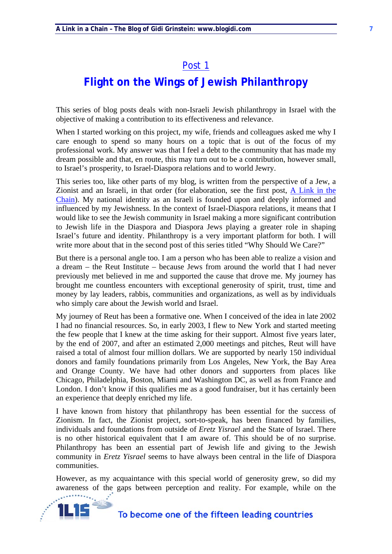## **Flight on the Wings of Jewish Philanthropy**

This series of blog posts deals with non-Israeli Jewish philanthropy in Israel with the objective of making a contribution to its effectiveness and relevance.

When I started working on this project, my wife, friends and colleagues asked me why I care enough to spend so many hours on a topic that is out of the focus of my professional work. My answer was that I feel a debt to the community that has made my dream possible and that, en route, this may turn out to be a contribution, however small, to Israel's prosperity, to Israel-Diaspora relations and to world Jewry.

This series too, like other parts of my blog, is written from the perspective of a Jew, a Zionist and an Israeli, in that order (for elaboration, see the first post, A Link in the Chain). My national identity as an Israeli is founded upon and deeply informed and influenced by my Jewishness. In the context of Israel-Diaspora relations, it means that I would like to see the Jewish community in Israel making a more significant contribution to Jewish life in the Diaspora and Diaspora Jews playing a greater role in shaping Israel's future and identity. Philanthropy is a very important platform for both. I will write more about that in the second post of this series titled "Why Should We Care?"

But there is a personal angle too. I am a person who has been able to realize a vision and a dream – the Reut Institute – because Jews from around the world that I had never previously met believed in me and supported the cause that drove me. My journey has brought me countless encounters with exceptional generosity of spirit, trust, time and money by lay leaders, rabbis, communities and organizations, as well as by individuals who simply care about the Jewish world and Israel.

My journey of Reut has been a formative one. When I conceived of the idea in late 2002 I had no financial resources. So, in early 2003, I flew to New York and started meeting the few people that I knew at the time asking for their support. Almost five years later, by the end of 2007, and after an estimated 2,000 meetings and pitches, Reut will have raised a total of almost four million dollars. We are supported by nearly 150 individual donors and family foundations primarily from Los Angeles, New York, the Bay Area and Orange County. We have had other donors and supporters from places like Chicago, Philadelphia, Boston, Miami and Washington DC, as well as from France and London. I don't know if this qualifies me as a good fundraiser, but it has certainly been an experience that deeply enriched my life.

I have known from history that philanthropy has been essential for the success of Zionism. In fact, the Zionist project, sort-to-speak, has been financed by families, individuals and foundations from outside of *Eretz Yisrael* and the State of Israel. There is no other historical equivalent that I am aware of. This should be of no surprise. Philanthropy has been an essential part of Jewish life and giving to the Jewish community in *Eretz Yisrael* seems to have always been central in the life of Diaspora communities.

However, as my acquaintance with this special world of generosity grew, so did my awareness of the gaps between perception and reality. For example, while on the

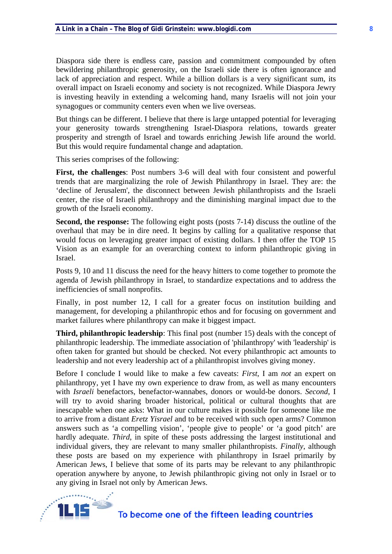Diaspora side there is endless care, passion and commitment compounded by often bewildering philanthropic generosity, on the Israeli side there is often ignorance and lack of appreciation and respect. While a billion dollars is a very significant sum, its overall impact on Israeli economy and society is not recognized. While Diaspora Jewry is investing heavily in extending a welcoming hand, many Israelis will not join your synagogues or community centers even when we live overseas.

But things can be different. I believe that there is large untapped potential for leveraging your generosity towards strengthening Israel-Diaspora relations, towards greater prosperity and strength of Israel and towards enriching Jewish life around the world. But this would require fundamental change and adaptation.

This series comprises of the following:

**First, the challenges**: Post numbers 3-6 will deal with four consistent and powerful trends that are marginalizing the role of Jewish Philanthropy in Israel. They are: the 'decline of Jerusalem', the disconnect between Jewish philanthropists and the Israeli center, the rise of Israeli philanthropy and the diminishing marginal impact due to the growth of the Israeli economy.

**Second, the response:** The following eight posts (posts 7-14) discuss the outline of the overhaul that may be in dire need. It begins by calling for a qualitative response that would focus on leveraging greater impact of existing dollars. I then offer the TOP 15 Vision as an example for an overarching context to inform philanthropic giving in Israel.

Posts 9, 10 and 11 discuss the need for the heavy hitters to come together to promote the agenda of Jewish philanthropy in Israel, to standardize expectations and to address the inefficiencies of small nonprofits.

Finally, in post number 12, I call for a greater focus on institution building and management, for developing a philanthropic ethos and for focusing on government and market failures where philanthropy can make it biggest impact.

**Third, philanthropic leadership**: This final post (number 15) deals with the concept of philanthropic leadership. The immediate association of 'philanthropy' with 'leadership' is often taken for granted but should be checked. Not every philanthropic act amounts to leadership and not every leadership act of a philanthropist involves giving money.

Before I conclude I would like to make a few caveats: *First*, I am *not* an expert on philanthropy, yet I have my own experience to draw from, as well as many encounters with *Israeli* benefactors, benefactor-wannabes, donors or would-be donors. *Second*, I will try to avoid sharing broader historical, political or cultural thoughts that are inescapable when one asks: What in our culture makes it possible for someone like me to arrive from a distant *Eretz Yisrael* and to be received with such open arms? Common answers such as 'a compelling vision', 'people give to people' or 'a good pitch' are hardly adequate. *Third*, in spite of these posts addressing the largest institutional and individual givers, they are relevant to many smaller philanthropists. *Finally*, although these posts are based on my experience with philanthropy in Israel primarily by American Jews, I believe that some of its parts may be relevant to any philanthropic operation anywhere by anyone, to Jewish philanthropic giving not only in Israel or to any giving in Israel not only by American Jews.

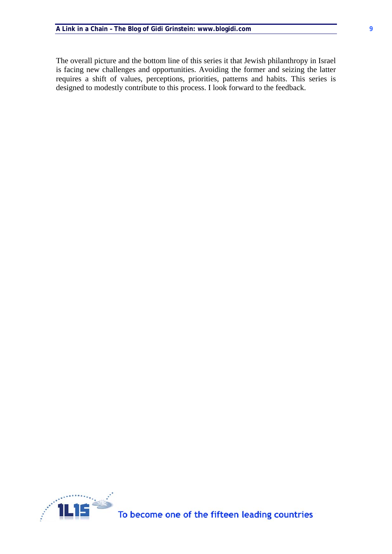The overall picture and the bottom line of this series it that Jewish philanthropy in Israel is facing new challenges and opportunities. Avoiding the former and seizing the latter requires a shift of values, perceptions, priorities, patterns and habits. This series is designed to modestly contribute to this process. I look forward to the feedback.

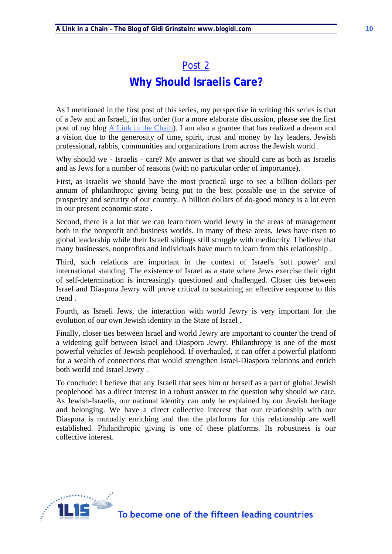## **Why Should Israelis Care?**

As I mentioned in the first post of this series, my perspective in writing this series is that of a Jew and an Israeli, in that order (for a more elaborate discussion, please see the first post of my blog A Link in the Chain). I am also a grantee that has realized a dream and a vision due to the generosity of time, spirit, trust and money by lay leaders, Jewish professional, rabbis, communities and organizations from across the Jewish world .

Why should we - Israelis - care? My answer is that we should care as both as Israelis and as Jews for a number of reasons (with no particular order of importance).

First, as Israelis we should have the most practical urge to see a billion dollars per annum of philanthropic giving being put to the best possible use in the service of prosperity and security of our country. A billion dollars of do-good money is a lot even in our present economic state .

Second, there is a lot that we can learn from world Jewry in the areas of management both in the nonprofit and business worlds. In many of these areas, Jews have risen to global leadership while their Israeli siblings still struggle with mediocrity. I believe that many businesses, nonprofits and individuals have much to learn from this relationship .

Third, such relations are important in the context of Israel's 'soft power' and international standing. The existence of Israel as a state where Jews exercise their right of self-determination is increasingly questioned and challenged. Closer ties between Israel and Diaspora Jewry will prove critical to sustaining an effective response to this trend .

Fourth, as Israeli Jews, the interaction with world Jewry is very important for the evolution of our own Jewish identity in the State of Israel .

Finally, closer ties between Israel and world Jewry are important to counter the trend of a widening gulf between Israel and Diaspora Jewry. Philanthropy is one of the most powerful vehicles of Jewish peoplehood. If overhauled, it can offer a powerful platform for a wealth of connections that would strengthen Israel-Diaspora relations and enrich both world and Israel Jewry .

To conclude: I believe that any Israeli that sees him or herself as a part of global Jewish peoplehood has a direct interest in a robust answer to the question why should we care. As Jewish-Israelis, our national identity can only be explained by our Jewish heritage and belonging. We have a direct collective interest that our relationship with our Diaspora is mutually enriching and that the platforms for this relationship are well established. Philanthropic giving is one of these platforms. Its robustness is our collective interest.

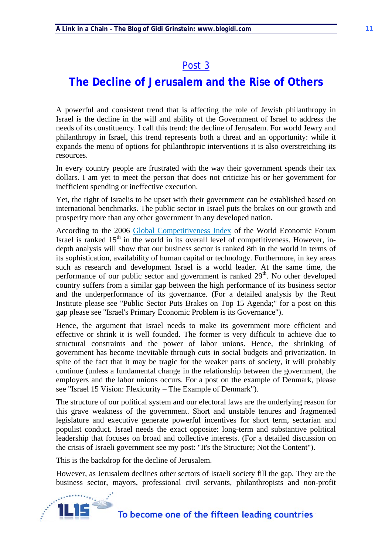## **The Decline of Jerusalem and the Rise of Others**

A powerful and consistent trend that is affecting the role of Jewish philanthropy in Israel is the decline in the will and ability of the Government of Israel to address the needs of its constituency. I call this trend: the decline of Jerusalem. For world Jewry and philanthropy in Israel, this trend represents both a threat and an opportunity: while it expands the menu of options for philanthropic interventions it is also overstretching its resources.

In every country people are frustrated with the way their government spends their tax dollars. I am yet to meet the person that does not criticize his or her government for inefficient spending or ineffective execution.

Yet, the right of Israelis to be upset with their government can be established based on international benchmarks. The public sector in Israel puts the brakes on our growth and prosperity more than any other government in any developed nation.

According to the 2006 Global Competitiveness Index of the World Economic Forum Israel is ranked  $15<sup>th</sup>$  in the world in its overall level of competitiveness. However, indepth analysis will show that our business sector is ranked 8th in the world in terms of its sophistication, availability of human capital or technology. Furthermore, in key areas such as research and development Israel is a world leader. At the same time, the performance of our public sector and government is ranked  $29<sup>th</sup>$ . No other developed country suffers from a similar gap between the high performance of its business sector and the underperformance of its governance. (For a detailed analysis by the Reut Institute please see "Public Sector Puts Brakes on Top 15 Agenda;" for a post on this gap please see "Israel's Primary Economic Problem is its Governance").

Hence, the argument that Israel needs to make its government more efficient and effective or shrink it is well founded. The former is very difficult to achieve due to structural constraints and the power of labor unions. Hence, the shrinking of government has become inevitable through cuts in social budgets and privatization. In spite of the fact that it may be tragic for the weaker parts of society, it will probably continue (unless a fundamental change in the relationship between the government, the employers and the labor unions occurs. For a post on the example of Denmark, please see "Israel 15 Vision: Flexicurity – The Example of Denmark").

The structure of our political system and our electoral laws are the underlying reason for this grave weakness of the government. Short and unstable tenures and fragmented legislature and executive generate powerful incentives for short term, sectarian and populist conduct. Israel needs the exact opposite: long-term and substantive political leadership that focuses on broad and collective interests. (For a detailed discussion on the crisis of Israeli government see my post: "It's the Structure; Not the Content").

This is the backdrop for the decline of Jerusalem.

However, as Jerusalem declines other sectors of Israeli society fill the gap. They are the business sector, mayors, professional civil servants, philanthropists and non-profit

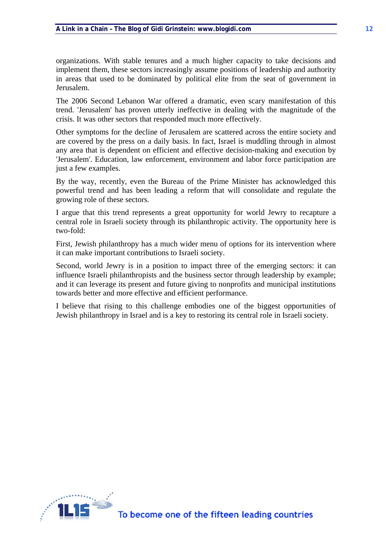organizations. With stable tenures and a much higher capacity to take decisions and implement them, these sectors increasingly assume positions of leadership and authority in areas that used to be dominated by political elite from the seat of government in Jerusalem.

The 2006 Second Lebanon War offered a dramatic, even scary manifestation of this trend. 'Jerusalem' has proven utterly ineffective in dealing with the magnitude of the crisis. It was other sectors that responded much more effectively.

Other symptoms for the decline of Jerusalem are scattered across the entire society and are covered by the press on a daily basis. In fact, Israel is muddling through in almost any area that is dependent on efficient and effective decision-making and execution by 'Jerusalem'. Education, law enforcement, environment and labor force participation are just a few examples.

By the way, recently, even the Bureau of the Prime Minister has acknowledged this powerful trend and has been leading a reform that will consolidate and regulate the growing role of these sectors.

I argue that this trend represents a great opportunity for world Jewry to recapture a central role in Israeli society through its philanthropic activity. The opportunity here is two-fold:

First, Jewish philanthropy has a much wider menu of options for its intervention where it can make important contributions to Israeli society.

Second, world Jewry is in a position to impact three of the emerging sectors: it can influence Israeli philanthropists and the business sector through leadership by example; and it can leverage its present and future giving to nonprofits and municipal institutions towards better and more effective and efficient performance.

I believe that rising to this challenge embodies one of the biggest opportunities of Jewish philanthropy in Israel and is a key to restoring its central role in Israeli society.

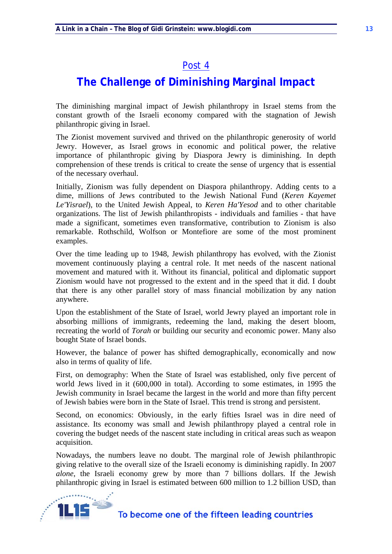## **The Challenge of Diminishing Marginal Impact**

The diminishing marginal impact of Jewish philanthropy in Israel stems from the constant growth of the Israeli economy compared with the stagnation of Jewish philanthropic giving in Israel.

The Zionist movement survived and thrived on the philanthropic generosity of world Jewry. However, as Israel grows in economic and political power, the relative importance of philanthropic giving by Diaspora Jewry is diminishing. In depth comprehension of these trends is critical to create the sense of urgency that is essential of the necessary overhaul.

Initially, Zionism was fully dependent on Diaspora philanthropy. Adding cents to a dime, millions of Jews contributed to the Jewish National Fund (*Keren Kayemet Le'Yisrael*), to the United Jewish Appeal, to *Keren Ha'Yesod* and to other charitable organizations. The list of Jewish philanthropists - individuals and families - that have made a significant, sometimes even transformative, contribution to Zionism is also remarkable. Rothschild, Wolfson or Montefiore are some of the most prominent examples.

Over the time leading up to 1948, Jewish philanthropy has evolved, with the Zionist movement continuously playing a central role. It met needs of the nascent national movement and matured with it. Without its financial, political and diplomatic support Zionism would have not progressed to the extent and in the speed that it did. I doubt that there is any other parallel story of mass financial mobilization by any nation anywhere.

Upon the establishment of the State of Israel, world Jewry played an important role in absorbing millions of immigrants, redeeming the land, making the desert bloom, recreating the world of *Torah* or building our security and economic power. Many also bought State of Israel bonds.

However, the balance of power has shifted demographically, economically and now also in terms of quality of life.

First, on demography: When the State of Israel was established, only five percent of world Jews lived in it (600,000 in total). According to some estimates, in 1995 the Jewish community in Israel became the largest in the world and more than fifty percent of Jewish babies were born in the State of Israel. This trend is strong and persistent.

Second, on economics: Obviously, in the early fifties Israel was in dire need of assistance. Its economy was small and Jewish philanthropy played a central role in covering the budget needs of the nascent state including in critical areas such as weapon acquisition.

Nowadays, the numbers leave no doubt. The marginal role of Jewish philanthropic giving relative to the overall size of the Israeli economy is diminishing rapidly. In 2007 *alone*, the Israeli economy grew by more than 7 billions dollars. If the Jewish philanthropic giving in Israel is estimated between 600 million to 1.2 billion USD, than

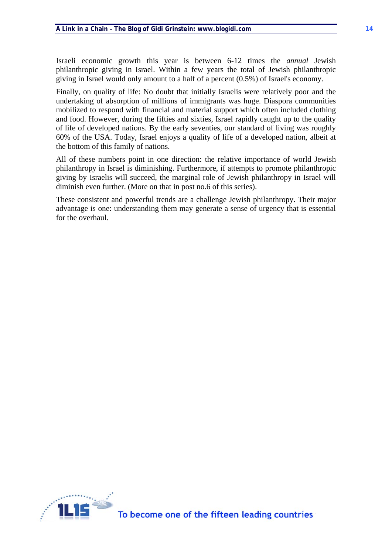Israeli economic growth this year is between 6-12 times the *annual* Jewish philanthropic giving in Israel. Within a few years the total of Jewish philanthropic giving in Israel would only amount to a half of a percent (0.5%) of Israel's economy.

Finally, on quality of life: No doubt that initially Israelis were relatively poor and the undertaking of absorption of millions of immigrants was huge. Diaspora communities mobilized to respond with financial and material support which often included clothing and food. However, during the fifties and sixties, Israel rapidly caught up to the quality of life of developed nations. By the early seventies, our standard of living was roughly 60% of the USA. Today, Israel enjoys a quality of life of a developed nation, albeit at the bottom of this family of nations.

All of these numbers point in one direction: the relative importance of world Jewish philanthropy in Israel is diminishing. Furthermore, if attempts to promote philanthropic giving by Israelis will succeed, the marginal role of Jewish philanthropy in Israel will diminish even further. (More on that in post no.6 of this series).

These consistent and powerful trends are a challenge Jewish philanthropy. Their major advantage is one: understanding them may generate a sense of urgency that is essential for the overhaul.

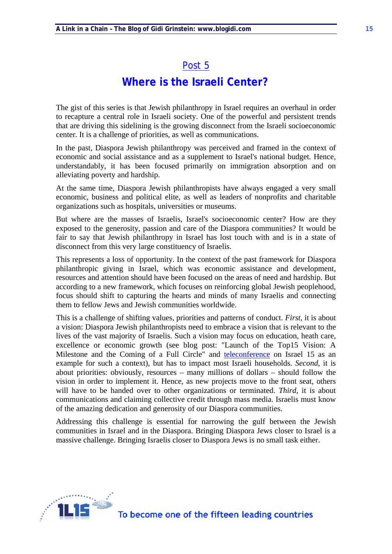### **Where is the Israeli Center?**

The gist of this series is that Jewish philanthropy in Israel requires an overhaul in order to recapture a central role in Israeli society. One of the powerful and persistent trends that are driving this sidelining is the growing disconnect from the Israeli socioeconomic center. It is a challenge of priorities, as well as communications.

In the past, Diaspora Jewish philanthropy was perceived and framed in the context of economic and social assistance and as a supplement to Israel's national budget. Hence, understandably, it has been focused primarily on immigration absorption and on alleviating poverty and hardship.

At the same time, Diaspora Jewish philanthropists have always engaged a very small economic, business and political elite, as well as leaders of nonprofits and charitable organizations such as hospitals, universities or museums.

But where are the masses of Israelis, Israel's socioeconomic center? How are they exposed to the generosity, passion and care of the Diaspora communities? It would be fair to say that Jewish philanthropy in Israel has lost touch with and is in a state of disconnect from this very large constituency of Israelis.

This represents a loss of opportunity. In the context of the past framework for Diaspora philanthropic giving in Israel, which was economic assistance and development, resources and attention should have been focused on the areas of need and hardship. But according to a new framework, which focuses on reinforcing global Jewish peoplehood, focus should shift to capturing the hearts and minds of many Israelis and connecting them to fellow Jews and Jewish communities worldwide.

This is a challenge of shifting values, priorities and patterns of conduct. *First*, it is about a vision: Diaspora Jewish philanthropists need to embrace a vision that is relevant to the lives of the vast majority of Israelis. Such a vision may focus on education, heath care, excellence or economic growth (see blog post: "Launch of the Top15 Vision: A Milestone and the Coming of a Full Circle" and teleconference on Israel 15 as an example for such a context), but has to impact most Israeli households. *Second*, it is about priorities: obviously, resources – many millions of dollars – should follow the vision in order to implement it. Hence, as new projects move to the front seat, others will have to be handed over to other organizations or terminated. *Third*, it is about communications and claiming collective credit through mass media. Israelis must know of the amazing dedication and generosity of our Diaspora communities.

Addressing this challenge is essential for narrowing the gulf between the Jewish communities in Israel and in the Diaspora. Bringing Diaspora Jews closer to Israel is a massive challenge. Bringing Israelis closer to Diaspora Jews is no small task either.

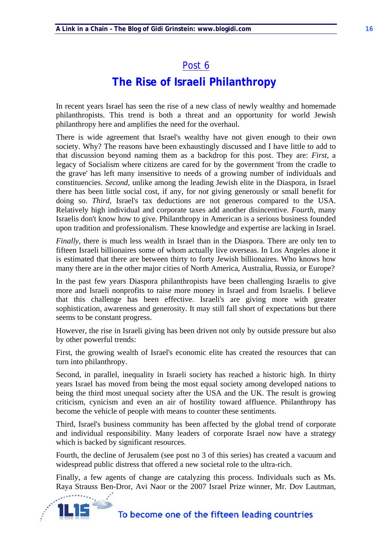# **The Rise of Israeli Philanthropy**

In recent years Israel has seen the rise of a new class of newly wealthy and homemade philanthropists. This trend is both a threat and an opportunity for world Jewish philanthropy here and amplifies the need for the overhaul.

There is wide agreement that Israel's wealthy have not given enough to their own society. Why? The reasons have been exhaustingly discussed and I have little to add to that discussion beyond naming them as a backdrop for this post. They are: *First*, a legacy of Socialism where citizens are cared for by the government 'from the cradle to the grave' has left many insensitive to needs of a growing number of individuals and constituencies. *Second*, unlike among the leading Jewish elite in the Diaspora, in Israel there has been little social cost, if any, for *not* giving generously or small benefit for doing so. *Third*, Israel's tax deductions are not generous compared to the USA. Relatively high individual and corporate taxes add another disincentive. *Fourth*, many Israelis don't know how to give. Philanthropy in American is a serious business founded upon tradition and professionalism. These knowledge and expertise are lacking in Israel.

*Finally*, there is much less wealth in Israel than in the Diaspora. There are only ten to fifteen Israeli billionaires some of whom actually live overseas. In Los Angeles alone it is estimated that there are between thirty to forty Jewish billionaires. Who knows how many there are in the other major cities of North America, Australia, Russia, or Europe?

In the past few years Diaspora philanthropists have been challenging Israelis to give more and Israeli nonprofits to raise more money in Israel and from Israelis. I believe that this challenge has been effective. Israeli's are giving more with greater sophistication, awareness and generosity. It may still fall short of expectations but there seems to be constant progress.

However, the rise in Israeli giving has been driven not only by outside pressure but also by other powerful trends:

First, the growing wealth of Israel's economic elite has created the resources that can turn into philanthropy.

Second, in parallel, inequality in Israeli society has reached a historic high. In thirty years Israel has moved from being the most equal society among developed nations to being the third most unequal society after the USA and the UK. The result is growing criticism, cynicism and even an air of hostility toward affluence. Philanthropy has become the vehicle of people with means to counter these sentiments.

Third, Israel's business community has been affected by the global trend of corporate and individual responsibility. Many leaders of corporate Israel now have a strategy which is backed by significant resources.

Fourth, the decline of Jerusalem (see post no 3 of this series) has created a vacuum and widespread public distress that offered a new societal role to the ultra-rich.

Finally, a few agents of change are catalyzing this process. Individuals such as Ms. Raya Strauss Ben-Dror, Avi Naor or the 2007 Israel Prize winner, Mr. Dov Lautman,

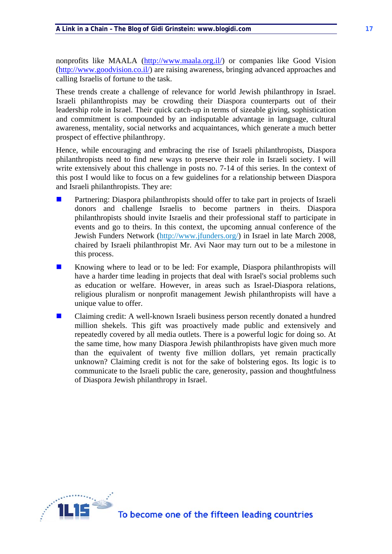nonprofits like MAALA (http://www.maala.org.il/) or companies like Good Vision (http://www.goodvision.co.il/) are raising awareness, bringing advanced approaches and calling Israelis of fortune to the task.

These trends create a challenge of relevance for world Jewish philanthropy in Israel. Israeli philanthropists may be crowding their Diaspora counterparts out of their leadership role in Israel. Their quick catch-up in terms of sizeable giving, sophistication and commitment is compounded by an indisputable advantage in language, cultural awareness, mentality, social networks and acquaintances, which generate a much better prospect of effective philanthropy.

Hence, while encouraging and embracing the rise of Israeli philanthropists, Diaspora philanthropists need to find new ways to preserve their role in Israeli society. I will write extensively about this challenge in posts no. 7-14 of this series. In the context of this post I would like to focus on a few guidelines for a relationship between Diaspora and Israeli philanthropists. They are:

- **Partnering: Diaspora philanthropists should offer to take part in projects of Israeli** donors and challenge Israelis to become partners in theirs. Diaspora philanthropists should invite Israelis and their professional staff to participate in events and go to theirs. In this context, the upcoming annual conference of the Jewish Funders Network (http://www.jfunders.org/) in Israel in late March 2008, chaired by Israeli philanthropist Mr. Avi Naor may turn out to be a milestone in this process.
- Knowing where to lead or to be led: For example, Diaspora philanthropists will have a harder time leading in projects that deal with Israel's social problems such as education or welfare. However, in areas such as Israel-Diaspora relations, religious pluralism or nonprofit management Jewish philanthropists will have a unique value to offer.
- **EXECUTE:** Claiming credit: A well-known Israeli business person recently donated a hundred million shekels. This gift was proactively made public and extensively and repeatedly covered by all media outlets. There is a powerful logic for doing so. At the same time, how many Diaspora Jewish philanthropists have given much more than the equivalent of twenty five million dollars, yet remain practically unknown? Claiming credit is not for the sake of bolstering egos. Its logic is to communicate to the Israeli public the care, generosity, passion and thoughtfulness of Diaspora Jewish philanthropy in Israel.

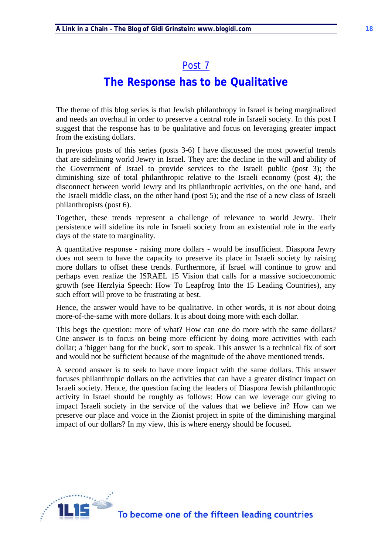## **The Response has to be Qualitative**

The theme of this blog series is that Jewish philanthropy in Israel is being marginalized and needs an overhaul in order to preserve a central role in Israeli society. In this post I suggest that the response has to be qualitative and focus on leveraging greater impact from the existing dollars.

In previous posts of this series (posts 3-6) I have discussed the most powerful trends that are sidelining world Jewry in Israel. They are: the decline in the will and ability of the Government of Israel to provide services to the Israeli public (post 3); the diminishing size of total philanthropic relative to the Israeli economy (post 4); the disconnect between world Jewry and its philanthropic activities, on the one hand, and the Israeli middle class, on the other hand (post 5); and the rise of a new class of Israeli philanthropists (post 6).

Together, these trends represent a challenge of relevance to world Jewry. Their persistence will sideline its role in Israeli society from an existential role in the early days of the state to marginality.

A quantitative response - raising more dollars - would be insufficient. Diaspora Jewry does not seem to have the capacity to preserve its place in Israeli society by raising more dollars to offset these trends. Furthermore, if Israel will continue to grow and perhaps even realize the ISRAEL 15 Vision that calls for a massive socioeconomic growth (see Herzlyia Speech: How To Leapfrog Into the 15 Leading Countries), any such effort will prove to be frustrating at best.

Hence, the answer would have to be qualitative. In other words, it is *not* about doing more-of-the-same with more dollars. It is about doing more with each dollar.

This begs the question: more of what? How can one do more with the same dollars? One answer is to focus on being more efficient by doing more activities with each dollar; a 'bigger bang for the buck', sort to speak. This answer is a technical fix of sort and would not be sufficient because of the magnitude of the above mentioned trends.

A second answer is to seek to have more impact with the same dollars. This answer focuses philanthropic dollars on the activities that can have a greater distinct impact on Israeli society. Hence, the question facing the leaders of Diaspora Jewish philanthropic activity in Israel should be roughly as follows: How can we leverage our giving to impact Israeli society in the service of the values that we believe in? How can we preserve our place and voice in the Zionist project in spite of the diminishing marginal impact of our dollars? In my view, this is where energy should be focused.

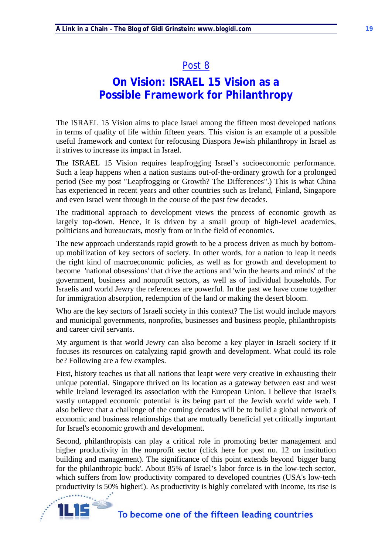## **On Vision: ISRAEL 15 Vision as a Possible Framework for Philanthropy**

The ISRAEL 15 Vision aims to place Israel among the fifteen most developed nations in terms of quality of life within fifteen years. This vision is an example of a possible useful framework and context for refocusing Diaspora Jewish philanthropy in Israel as it strives to increase its impact in Israel.

The ISRAEL 15 Vision requires leapfrogging Israel's socioeconomic performance. Such a leap happens when a nation sustains out-of-the-ordinary growth for a prolonged period (See my post "Leapfrogging or Growth? The Differences".) This is what China has experienced in recent years and other countries such as Ireland, Finland, Singapore and even Israel went through in the course of the past few decades.

The traditional approach to development views the process of economic growth as largely top-down. Hence, it is driven by a small group of high-level academics, politicians and bureaucrats, mostly from or in the field of economics.

The new approach understands rapid growth to be a process driven as much by bottomup mobilization of key sectors of society. In other words, for a nation to leap it needs the right kind of macroeconomic policies, as well as for growth and development to become 'national obsessions' that drive the actions and 'win the hearts and minds' of the government, business and nonprofit sectors, as well as of individual households. For Israelis and world Jewry the references are powerful. In the past we have come together for immigration absorption, redemption of the land or making the desert bloom.

Who are the key sectors of Israeli society in this context? The list would include mayors and municipal governments, nonprofits, businesses and business people, philanthropists and career civil servants.

My argument is that world Jewry can also become a key player in Israeli society if it focuses its resources on catalyzing rapid growth and development. What could its role be? Following are a few examples.

First, history teaches us that all nations that leapt were very creative in exhausting their unique potential. Singapore thrived on its location as a gateway between east and west while Ireland leveraged its association with the European Union. I believe that Israel's vastly untapped economic potential is its being part of the Jewish world wide web. I also believe that a challenge of the coming decades will be to build a global network of economic and business relationships that are mutually beneficial yet critically important for Israel's economic growth and development.

Second, philanthropists can play a critical role in promoting better management and higher productivity in the nonprofit sector (click here for post no. 12 on institution building and management). The significance of this point extends beyond 'bigger bang for the philanthropic buck'. About 85% of Israel's labor force is in the low-tech sector, which suffers from low productivity compared to developed countries (USA's low-tech productivity is 50% higher!). As productivity is highly correlated with income, its rise is

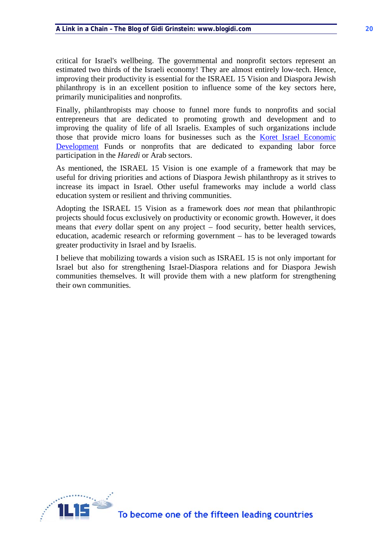critical for Israel's wellbeing. The governmental and nonprofit sectors represent an estimated two thirds of the Israeli economy! They are almost entirely low-tech. Hence, improving their productivity is essential for the ISRAEL 15 Vision and Diaspora Jewish philanthropy is in an excellent position to influence some of the key sectors here, primarily municipalities and nonprofits.

Finally, philanthropists may choose to funnel more funds to nonprofits and social entrepreneurs that are dedicated to promoting growth and development and to improving the quality of life of all Israelis. Examples of such organizations include those that provide micro loans for businesses such as the Koret Israel Economic Development Funds or nonprofits that are dedicated to expanding labor force participation in the *Haredi* or Arab sectors.

As mentioned, the ISRAEL 15 Vision is one example of a framework that may be useful for driving priorities and actions of Diaspora Jewish philanthropy as it strives to increase its impact in Israel. Other useful frameworks may include a world class education system or resilient and thriving communities.

Adopting the ISRAEL 15 Vision as a framework does *not* mean that philanthropic projects should focus exclusively on productivity or economic growth. However, it does means that *every* dollar spent on any project – food security, better health services, education, academic research or reforming government – has to be leveraged towards greater productivity in Israel and by Israelis.

I believe that mobilizing towards a vision such as ISRAEL 15 is not only important for Israel but also for strengthening Israel-Diaspora relations and for Diaspora Jewish communities themselves. It will provide them with a new platform for strengthening their own communities.

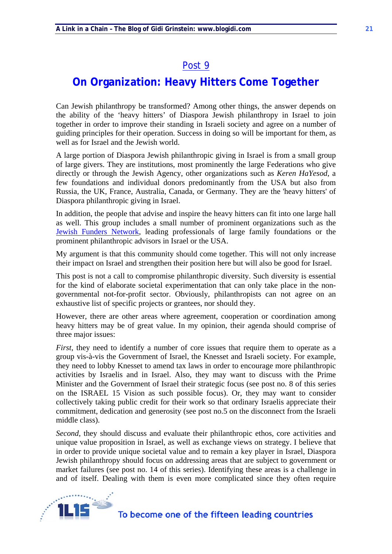# **On Organization: Heavy Hitters Come Together**

Can Jewish philanthropy be transformed? Among other things, the answer depends on the ability of the 'heavy hitters' of Diaspora Jewish philanthropy in Israel to join together in order to improve their standing in Israeli society and agree on a number of guiding principles for their operation. Success in doing so will be important for them, as well as for Israel and the Jewish world.

A large portion of Diaspora Jewish philanthropic giving in Israel is from a small group of large givers. They are institutions, most prominently the large Federations who give directly or through the Jewish Agency, other organizations such as *Keren HaYesod*, a few foundations and individual donors predominantly from the USA but also from Russia, the UK, France, Australia, Canada, or Germany. They are the 'heavy hitters' of Diaspora philanthropic giving in Israel.

In addition, the people that advise and inspire the heavy hitters can fit into one large hall as well. This group includes a small number of prominent organizations such as the Jewish Funders Network, leading professionals of large family foundations or the prominent philanthropic advisors in Israel or the USA.

My argument is that this community should come together. This will not only increase their impact on Israel and strengthen their position here but will also be good for Israel.

This post is not a call to compromise philanthropic diversity. Such diversity is essential for the kind of elaborate societal experimentation that can only take place in the nongovernmental not-for-profit sector. Obviously, philanthropists can not agree on an exhaustive list of specific projects or grantees, nor should they.

However, there are other areas where agreement, cooperation or coordination among heavy hitters may be of great value. In my opinion, their agenda should comprise of three major issues:

*First*, they need to identify a number of core issues that require them to operate as a group vis-à-vis the Government of Israel, the Knesset and Israeli society. For example, they need to lobby Knesset to amend tax laws in order to encourage more philanthropic activities by Israelis and in Israel. Also, they may want to discuss with the Prime Minister and the Government of Israel their strategic focus (see post no. 8 of this series on the ISRAEL 15 Vision as such possible focus). Or, they may want to consider collectively taking public credit for their work so that ordinary Israelis appreciate their commitment, dedication and generosity (see post no.5 on the disconnect from the Israeli middle class).

*Second*, they should discuss and evaluate their philanthropic ethos, core activities and unique value proposition in Israel, as well as exchange views on strategy. I believe that in order to provide unique societal value and to remain a key player in Israel, Diaspora Jewish philanthropy should focus on addressing areas that are subject to government or market failures (see post no. 14 of this series). Identifying these areas is a challenge in and of itself. Dealing with them is even more complicated since they often require

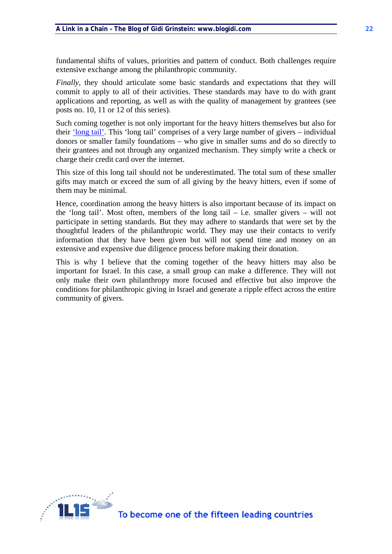fundamental shifts of values, priorities and pattern of conduct. Both challenges require extensive exchange among the philanthropic community.

*Finally*, they should articulate some basic standards and expectations that they will commit to apply to all of their activities. These standards may have to do with grant applications and reporting, as well as with the quality of management by grantees (see posts no. 10, 11 or 12 of this series).

Such coming together is not only important for the heavy hitters themselves but also for their 'long tail'. This 'long tail' comprises of a very large number of givers – individual donors or smaller family foundations – who give in smaller sums and do so directly to their grantees and not through any organized mechanism. They simply write a check or charge their credit card over the internet.

This size of this long tail should not be underestimated. The total sum of these smaller gifts may match or exceed the sum of all giving by the heavy hitters, even if some of them may be minimal.

Hence, coordination among the heavy hitters is also important because of its impact on the 'long tail'. Most often, members of the long tail  $-$  i.e. smaller givers  $-$  will not participate in setting standards. But they may adhere to standards that were set by the thoughtful leaders of the philanthropic world. They may use their contacts to verify information that they have been given but will not spend time and money on an extensive and expensive due diligence process before making their donation.

This is why I believe that the coming together of the heavy hitters may also be important for Israel. In this case, a small group can make a difference. They will not only make their own philanthropy more focused and effective but also improve the conditions for philanthropic giving in Israel and generate a ripple effect across the entire community of givers.

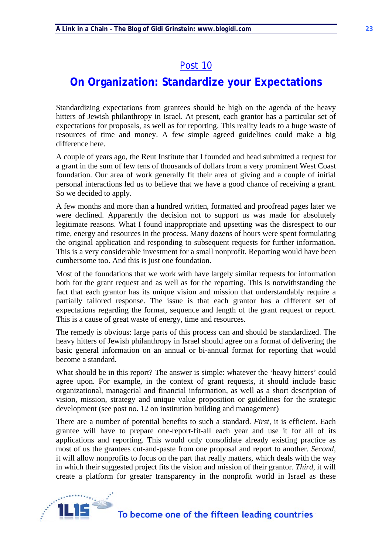## **On Organization: Standardize your Expectations**

Standardizing expectations from grantees should be high on the agenda of the heavy hitters of Jewish philanthropy in Israel. At present, each grantor has a particular set of expectations for proposals, as well as for reporting. This reality leads to a huge waste of resources of time and money. A few simple agreed guidelines could make a big difference here.

A couple of years ago, the Reut Institute that I founded and head submitted a request for a grant in the sum of few tens of thousands of dollars from a very prominent West Coast foundation. Our area of work generally fit their area of giving and a couple of initial personal interactions led us to believe that we have a good chance of receiving a grant. So we decided to apply.

A few months and more than a hundred written, formatted and proofread pages later we were declined. Apparently the decision not to support us was made for absolutely legitimate reasons. What I found inappropriate and upsetting was the disrespect to our time, energy and resources in the process. Many dozens of hours were spent formulating the original application and responding to subsequent requests for further information. This is a very considerable investment for a small nonprofit. Reporting would have been cumbersome too. And this is just one foundation.

Most of the foundations that we work with have largely similar requests for information both for the grant request and as well as for the reporting. This is notwithstanding the fact that each grantor has its unique vision and mission that understandably require a partially tailored response. The issue is that each grantor has a different set of expectations regarding the format, sequence and length of the grant request or report. This is a cause of great waste of energy, time and resources.

The remedy is obvious: large parts of this process can and should be standardized. The heavy hitters of Jewish philanthropy in Israel should agree on a format of delivering the basic general information on an annual or bi-annual format for reporting that would become a standard.

What should be in this report? The answer is simple: whatever the 'heavy hitters' could agree upon. For example, in the context of grant requests, it should include basic organizational, managerial and financial information, as well as a short description of vision, mission, strategy and unique value proposition or guidelines for the strategic development (see post no. 12 on institution building and management)

There are a number of potential benefits to such a standard. *First*, it is efficient. Each grantee will have to prepare one-report-fit-all each year and use it for all of its applications and reporting. This would only consolidate already existing practice as most of us the grantees cut-and-paste from one proposal and report to another. *Second*, it will allow nonprofits to focus on the part that really matters, which deals with the way in which their suggested project fits the vision and mission of their grantor. *Third*, it will create a platform for greater transparency in the nonprofit world in Israel as these

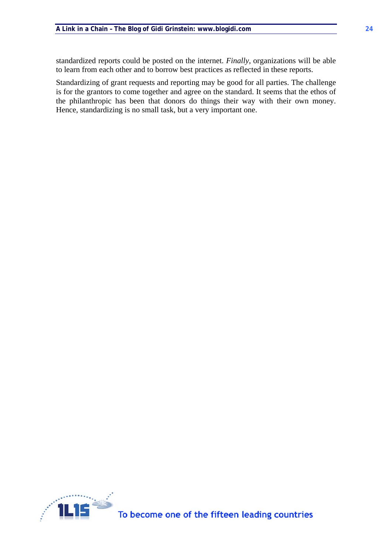standardized reports could be posted on the internet. *Finally*, organizations will be able to learn from each other and to borrow best practices as reflected in these reports.

Standardizing of grant requests and reporting may be good for all parties. The challenge is for the grantors to come together and agree on the standard. It seems that the ethos of the philanthropic has been that donors do things their way with their own money. Hence, standardizing is no small task, but a very important one.

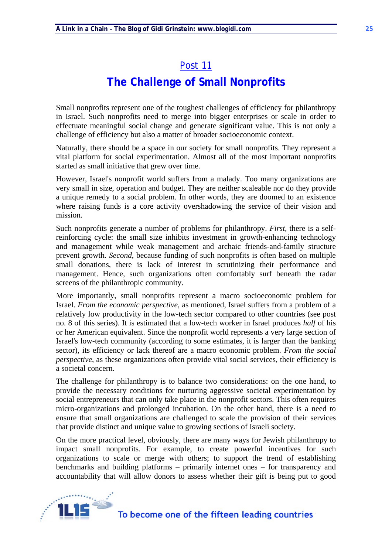# **The Challenge of Small Nonprofits**

Small nonprofits represent one of the toughest challenges of efficiency for philanthropy in Israel. Such nonprofits need to merge into bigger enterprises or scale in order to effectuate meaningful social change and generate significant value. This is not only a challenge of efficiency but also a matter of broader socioeconomic context.

Naturally, there should be a space in our society for small nonprofits. They represent a vital platform for social experimentation. Almost all of the most important nonprofits started as small initiative that grew over time.

However, Israel's nonprofit world suffers from a malady. Too many organizations are very small in size, operation and budget. They are neither scaleable nor do they provide a unique remedy to a social problem. In other words, they are doomed to an existence where raising funds is a core activity overshadowing the service of their vision and mission.

Such nonprofits generate a number of problems for philanthropy. *First,* there is a selfreinforcing cycle: the small size inhibits investment in growth-enhancing technology and management while weak management and archaic friends-and-family structure prevent growth. *Second*, because funding of such nonprofits is often based on multiple small donations, there is lack of interest in scrutinizing their performance and management. Hence, such organizations often comfortably surf beneath the radar screens of the philanthropic community.

More importantly, small nonprofits represent a macro socioeconomic problem for Israel. *From the economic perspective*, as mentioned, Israel suffers from a problem of a relatively low productivity in the low-tech sector compared to other countries (see post no. 8 of this series). It is estimated that a low-tech worker in Israel produces *half* of his or her American equivalent. Since the nonprofit world represents a very large section of Israel's low-tech community (according to some estimates, it is larger than the banking sector), its efficiency or lack thereof are a macro economic problem. *From the social perspective*, as these organizations often provide vital social services, their efficiency is a societal concern.

The challenge for philanthropy is to balance two considerations: on the one hand, to provide the necessary conditions for nurturing aggressive societal experimentation by social entrepreneurs that can only take place in the nonprofit sectors. This often requires micro-organizations and prolonged incubation. On the other hand, there is a need to ensure that small organizations are challenged to scale the provision of their services that provide distinct and unique value to growing sections of Israeli society.

On the more practical level, obviously, there are many ways for Jewish philanthropy to impact small nonprofits. For example, to create powerful incentives for such organizations to scale or merge with others; to support the trend of establishing benchmarks and building platforms – primarily internet ones – for transparency and accountability that will allow donors to assess whether their gift is being put to good

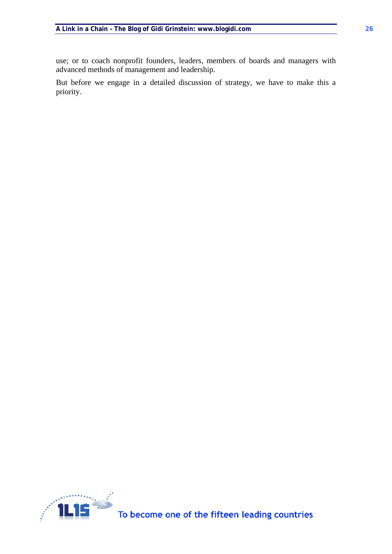use; or to coach nonprofit founders, leaders, members of boards and managers with advanced methods of management and leadership.

But before we engage in a detailed discussion of strategy, we have to make this a priority.

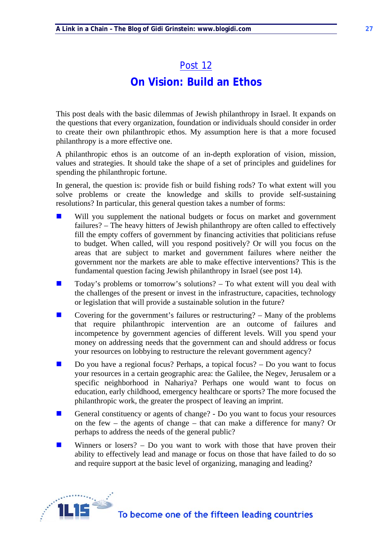# Post 12 **On Vision: Build an Ethos**

This post deals with the basic dilemmas of Jewish philanthropy in Israel. It expands on the questions that every organization, foundation or individuals should consider in order to create their own philanthropic ethos. My assumption here is that a more focused philanthropy is a more effective one.

A philanthropic ethos is an outcome of an in-depth exploration of vision, mission, values and strategies. It should take the shape of a set of principles and guidelines for spending the philanthropic fortune.

In general, the question is: provide fish or build fishing rods? To what extent will you solve problems or create the knowledge and skills to provide self-sustaining resolutions? In particular, this general question takes a number of forms:

- Will you supplement the national budgets or focus on market and government failures? – The heavy hitters of Jewish philanthropy are often called to effectively fill the empty coffers of government by financing activities that politicians refuse to budget. When called, will you respond positively? Or will you focus on the areas that are subject to market and government failures where neither the government nor the markets are able to make effective interventions? This is the fundamental question facing Jewish philanthropy in Israel (see post 14).
- $\Box$  Today's problems or tomorrow's solutions? To what extent will you deal with the challenges of the present or invest in the infrastructure, capacities, technology or legislation that will provide a sustainable solution in the future?
- Covering for the government's failures or restructuring?  $-$  Many of the problems that require philanthropic intervention are an outcome of failures and incompetence by government agencies of different levels. Will you spend your money on addressing needs that the government can and should address or focus your resources on lobbying to restructure the relevant government agency?
- $\Box$  Do you have a regional focus? Perhaps, a topical focus? Do you want to focus your resources in a certain geographic area: the Galilee, the Negev, Jerusalem or a specific neighborhood in Nahariya? Perhaps one would want to focus on education, early childhood, emergency healthcare or sports? The more focused the philanthropic work, the greater the prospect of leaving an imprint.
- General constituency or agents of change? Do you want to focus your resources on the few – the agents of change – that can make a difference for many? Or perhaps to address the needs of the general public?
- **Winners** or losers? Do you want to work with those that have proven their ability to effectively lead and manage or focus on those that have failed to do so and require support at the basic level of organizing, managing and leading?

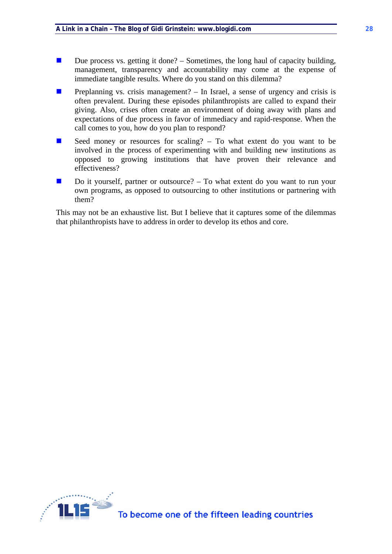- Due process vs. getting it done? Sometimes, the long haul of capacity building, management, transparency and accountability may come at the expense of immediate tangible results. Where do you stand on this dilemma?
- **Preplanning vs. crisis management?** In Israel, a sense of urgency and crisis is often prevalent. During these episodes philanthropists are called to expand their giving. Also, crises often create an environment of doing away with plans and expectations of due process in favor of immediacy and rapid-response. When the call comes to you, how do you plan to respond?
- Seed money or resources for scaling?  $-$  To what extent do you want to be involved in the process of experimenting with and building new institutions as opposed to growing institutions that have proven their relevance and effectiveness?
- $\Box$  Do it yourself, partner or outsource? To what extent do you want to run your own programs, as opposed to outsourcing to other institutions or partnering with them?

This may not be an exhaustive list. But I believe that it captures some of the dilemmas that philanthropists have to address in order to develop its ethos and core.

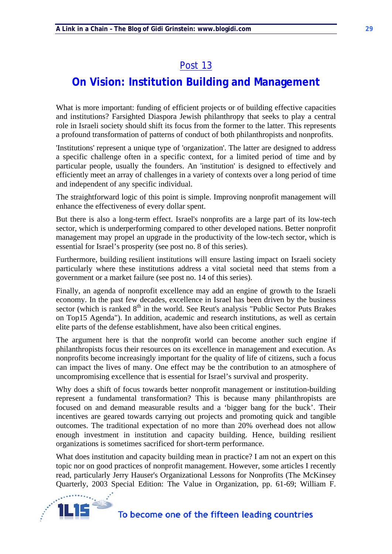## **On Vision: Institution Building and Management**

What is more important: funding of efficient projects or of building effective capacities and institutions? Farsighted Diaspora Jewish philanthropy that seeks to play a central role in Israeli society should shift its focus from the former to the latter. This represents a profound transformation of patterns of conduct of both philanthropists and nonprofits.

'Institutions' represent a unique type of 'organization'. The latter are designed to address a specific challenge often in a specific context, for a limited period of time and by particular people, usually the founders. An 'institution' is designed to effectively and efficiently meet an array of challenges in a variety of contexts over a long period of time and independent of any specific individual.

The straightforward logic of this point is simple. Improving nonprofit management will enhance the effectiveness of every dollar spent.

But there is also a long-term effect. Israel's nonprofits are a large part of its low-tech sector, which is underperforming compared to other developed nations. Better nonprofit management may propel an upgrade in the productivity of the low-tech sector, which is essential for Israel's prosperity (see post no. 8 of this series).

Furthermore, building resilient institutions will ensure lasting impact on Israeli society particularly where these institutions address a vital societal need that stems from a government or a market failure (see post no. 14 of this series).

Finally, an agenda of nonprofit excellence may add an engine of growth to the Israeli economy. In the past few decades, excellence in Israel has been driven by the business sector (which is ranked  $8<sup>th</sup>$  in the world. See Reut's analysis "Public Sector Puts Brakes" on Top15 Agenda"). In addition, academic and research institutions, as well as certain elite parts of the defense establishment, have also been critical engines.

The argument here is that the nonprofit world can become another such engine if philanthropists focus their resources on its excellence in management and execution. As nonprofits become increasingly important for the quality of life of citizens, such a focus can impact the lives of many. One effect may be the contribution to an atmosphere of uncompromising excellence that is essential for Israel's survival and prosperity.

Why does a shift of focus towards better nonprofit management or institution-building represent a fundamental transformation? This is because many philanthropists are focused on and demand measurable results and a 'bigger bang for the buck'. Their incentives are geared towards carrying out projects and promoting quick and tangible outcomes. The traditional expectation of no more than 20% overhead does not allow enough investment in institution and capacity building. Hence, building resilient organizations is sometimes sacrificed for short-term performance.

What does institution and capacity building mean in practice? I am not an expert on this topic nor on good practices of nonprofit management. However, some articles I recently read, particularly Jerry Hauser's Organizational Lessons for Nonprofits (The McKinsey Quarterly, 2003 Special Edition: The Value in Organization, pp. 61-69; William F.

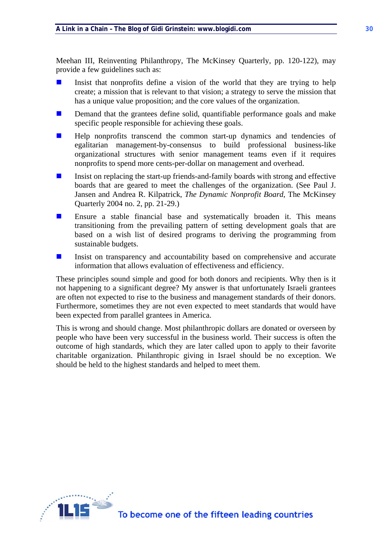Meehan III, Reinventing Philanthropy, The McKinsey Quarterly, pp. 120-122), may provide a few guidelines such as:

- Insist that nonprofits define a vision of the world that they are trying to help create; a mission that is relevant to that vision; a strategy to serve the mission that has a unique value proposition; and the core values of the organization.
- **Demand that the grantees define solid, quantifiable performance goals and make** specific people responsible for achieving these goals.
- $\blacksquare$  Help nonprofits transcend the common start-up dynamics and tendencies of egalitarian management-by-consensus to build professional business-like organizational structures with senior management teams even if it requires nonprofits to spend more cents-per-dollar on management and overhead.
- Insist on replacing the start-up friends-and-family boards with strong and effective boards that are geared to meet the challenges of the organization. (See Paul J. Jansen and Andrea R. Kilpatrick, *The Dynamic Nonprofit Board*, The McKinsey Quarterly 2004 no. 2, pp. 21-29.)
- Ensure a stable financial base and systematically broaden it. This means transitioning from the prevailing pattern of setting development goals that are based on a wish list of desired programs to deriving the programming from sustainable budgets.
- Insist on transparency and accountability based on comprehensive and accurate information that allows evaluation of effectiveness and efficiency.

These principles sound simple and good for both donors and recipients. Why then is it not happening to a significant degree? My answer is that unfortunately Israeli grantees are often not expected to rise to the business and management standards of their donors. Furthermore, sometimes they are not even expected to meet standards that would have been expected from parallel grantees in America.

This is wrong and should change. Most philanthropic dollars are donated or overseen by people who have been very successful in the business world. Their success is often the outcome of high standards, which they are later called upon to apply to their favorite charitable organization. Philanthropic giving in Israel should be no exception. We should be held to the highest standards and helped to meet them.

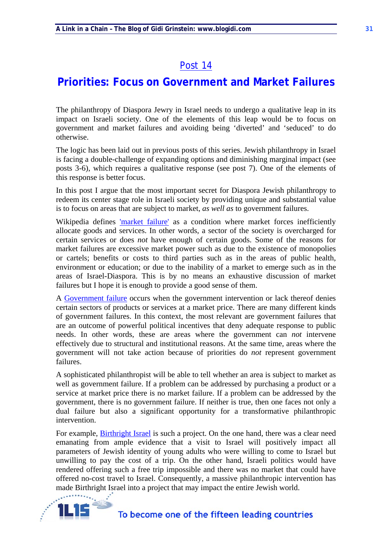### **Priorities: Focus on Government and Market Failures**

The philanthropy of Diaspora Jewry in Israel needs to undergo a qualitative leap in its impact on Israeli society. One of the elements of this leap would be to focus on government and market failures and avoiding being 'diverted' and 'seduced' to do otherwise.

The logic has been laid out in previous posts of this series. Jewish philanthropy in Israel is facing a double-challenge of expanding options and diminishing marginal impact (see posts 3-6), which requires a qualitative response (see post 7). One of the elements of this response is better focus.

In this post I argue that the most important secret for Diaspora Jewish philanthropy to redeem its center stage role in Israeli society by providing unique and substantial value is to focus on areas that are subject to market, *as well as* to government failures.

Wikipedia defines 'market failure' as a condition where market forces inefficiently allocate goods and services. In other words, a sector of the society is overcharged for certain services or does *not* have enough of certain goods. Some of the reasons for market failures are excessive market power such as due to the existence of monopolies or cartels; benefits or costs to third parties such as in the areas of public health, environment or education; or due to the inability of a market to emerge such as in the areas of Israel-Diaspora. This is by no means an exhaustive discussion of market failures but I hope it is enough to provide a good sense of them.

A Government failure occurs when the government intervention or lack thereof denies certain sectors of products or services at a market price. There are many different kinds of government failures. In this context, the most relevant are government failures that are an outcome of powerful political incentives that deny adequate response to public needs. In other words, these are areas where the government can *not* intervene effectively due to structural and institutional reasons. At the same time, areas where the government will not take action because of priorities do *not* represent government failures.

A sophisticated philanthropist will be able to tell whether an area is subject to market as well as government failure. If a problem can be addressed by purchasing a product or a service at market price there is no market failure. If a problem can be addressed by the government, there is no government failure. If neither is true, then one faces not only a dual failure but also a significant opportunity for a transformative philanthropic intervention.

For example, Birthright Israel is such a project. On the one hand, there was a clear need emanating from ample evidence that a visit to Israel will positively impact all parameters of Jewish identity of young adults who were willing to come to Israel but unwilling to pay the cost of a trip. On the other hand, Israeli politics would have rendered offering such a free trip impossible and there was no market that could have offered no-cost travel to Israel. Consequently, a massive philanthropic intervention has made Birthright Israel into a project that may impact the entire Jewish world.

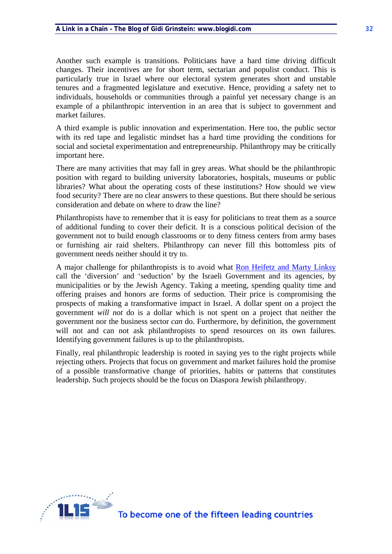Another such example is transitions. Politicians have a hard time driving difficult changes. Their incentives are for short term, sectarian and populist conduct. This is particularly true in Israel where our electoral system generates short and unstable tenures and a fragmented legislature and executive. Hence, providing a safety net to individuals, households or communities through a painful yet necessary change is an example of a philanthropic intervention in an area that is subject to government and market failures.

A third example is public innovation and experimentation. Here too, the public sector with its red tape and legalistic mindset has a hard time providing the conditions for social and societal experimentation and entrepreneurship. Philanthropy may be critically important here.

There are many activities that may fall in grey areas. What should be the philanthropic position with regard to building university laboratories, hospitals, museums or public libraries? What about the operating costs of these institutions? How should we view food security? There are no clear answers to these questions. But there should be serious consideration and debate on where to draw the line?

Philanthropists have to remember that it is easy for politicians to treat them as a source of additional funding to cover their deficit. It is a conscious political decision of the government not to build enough classrooms or to deny fitness centers from army bases or furnishing air raid shelters. Philanthropy can never fill this bottomless pits of government needs neither should it try to.

A major challenge for philanthropists is to avoid what Ron Heifetz and Marty Linksy call the 'diversion' and 'seduction' by the Israeli Government and its agencies, by municipalities or by the Jewish Agency. Taking a meeting, spending quality time and offering praises and honors are forms of seduction. Their price is compromising the prospects of making a transformative impact in Israel. A dollar spent on a project the government *will not* do is a dollar which is not spent on a project that neither the government nor the business sector *can* do. Furthermore, by definition, the government will not and can not ask philanthropists to spend resources on its own failures. Identifying government failures is up to the philanthropists.

Finally, real philanthropic leadership is rooted in saying yes to the right projects while rejecting others. Projects that focus on government and market failures hold the promise of a possible transformative change of priorities, habits or patterns that constitutes leadership. Such projects should be the focus on Diaspora Jewish philanthropy.

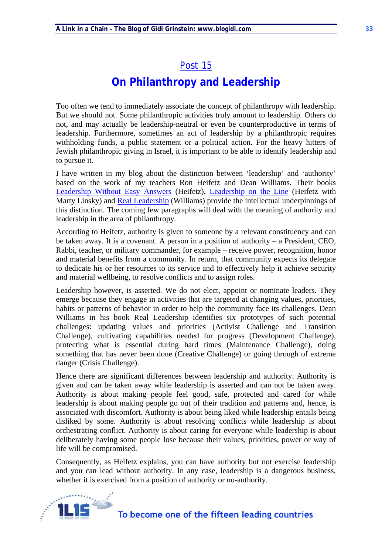# **On Philanthropy and Leadership**

Too often we tend to immediately associate the concept of philanthropy with leadership. But we should not. Some philanthropic activities truly amount to leadership. Others do not, and may actually be leadership-neutral or even be counterproductive in terms of leadership. Furthermore, sometimes an act of leadership by a philanthropic requires withholding funds, a public statement or a political action. For the heavy hitters of Jewish philanthropic giving in Israel, it is important to be able to identify leadership and to pursue it.

I have written in my blog about the distinction between 'leadership' and 'authority' based on the work of my teachers Ron Heifetz and Dean Williams. Their books Leadership Without Easy Answers (Heifetz), Leadership on the Line (Heifetz with Marty Linsky) and Real Leadership (Williams) provide the intellectual underpinnings of this distinction. The coming few paragraphs will deal with the meaning of authority and leadership in the area of philanthropy.

According to Heifetz, authority is given to someone by a relevant constituency and can be taken away. It is a covenant. A person in a position of authority – a President, CEO, Rabbi, teacher, or military commander, for example – receive power, recognition, honor and material benefits from a community. In return, that community expects its delegate to dedicate his or her resources to its service and to effectively help it achieve security and material wellbeing, to resolve conflicts and to assign roles.

Leadership however, is asserted. We do not elect, appoint or nominate leaders. They emerge because they engage in activities that are targeted at changing values, priorities, habits or patterns of behavior in order to help the community face its challenges. Dean Williams in his book Real Leadership identifies six prototypes of such potential challenges: updating values and priorities (Activist Challenge and Transition Challenge), cultivating capabilities needed for progress (Development Challenge), protecting what is essential during hard times (Maintenance Challenge), doing something that has never been done (Creative Challenge) or going through of extreme danger (Crisis Challenge).

Hence there are significant differences between leadership and authority. Authority is given and can be taken away while leadership is asserted and can not be taken away. Authority is about making people feel good, safe, protected and cared for while leadership is about making people go out of their tradition and patterns and, hence, is associated with discomfort. Authority is about being liked while leadership entails being disliked by some. Authority is about resolving conflicts while leadership is about orchestrating conflict. Authority is about caring for everyone while leadership is about deliberately having some people lose because their values, priorities, power or way of life will be compromised.

Consequently, as Heifetz explains, you can have authority but not exercise leadership and you can lead without authority. In any case, leadership is a dangerous business, whether it is exercised from a position of authority or no-authority.